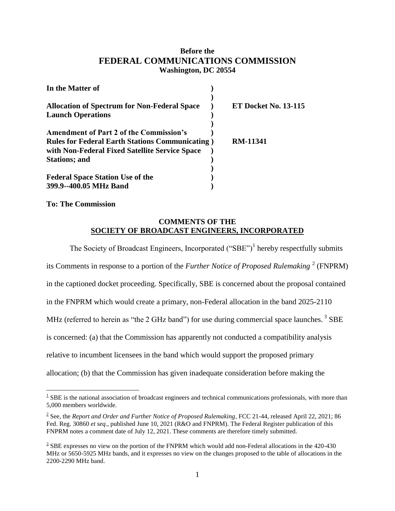## **Before the FEDERAL COMMUNICATIONS COMMISSION Washington, DC 20554**

| In the Matter of                                                                |                             |
|---------------------------------------------------------------------------------|-----------------------------|
| <b>Allocation of Spectrum for Non-Federal Space</b><br><b>Launch Operations</b> | <b>ET Docket No. 13-115</b> |
| <b>Amendment of Part 2 of the Commission's</b>                                  |                             |
| <b>Rules for Federal Earth Stations Communicating</b> )                         | <b>RM-11341</b>             |
| with Non-Federal Fixed Satellite Service Space                                  |                             |
| <b>Stations</b> ; and                                                           |                             |
|                                                                                 |                             |
| <b>Federal Space Station Use of the</b>                                         |                             |
| 399.9--400.05 MHz Band                                                          |                             |

**To: The Commission**

## **COMMENTS OF THE SOCIETY OF BROADCAST ENGINEERS, INCORPORATED**

The Society of Broadcast Engineers, Incorporated  $("SBE")<sup>1</sup>$  hereby respectfully submits its Comments in response to a portion of the *Further Notice of Proposed Rulemaking*<sup>2</sup> (FNPRM) in the captioned docket proceeding. Specifically, SBE is concerned about the proposal contained in the FNPRM which would create a primary, non-Federal allocation in the band 2025-2110 MHz (referred to herein as "the 2 GHz band") for use during commercial space launches.<sup>3</sup> SBE is concerned: (a) that the Commission has apparently not conducted a compatibility analysis relative to incumbent licensees in the band which would support the proposed primary allocation; (b) that the Commission has given inadequate consideration before making the

 $\overline{a}$  $1$  SBE is the national association of broadcast engineers and technical communications professionals, with more than 5,000 members worldwide.

<sup>2</sup> See, the *Report and Order and Further Notice of Proposed Rulemaking,* FCC 21-44, released April 22, 2021; 86 Fed. Reg. 30860 *et seq*., published June 10, 2021 (R&O and FNPRM). The Federal Register publication of this FNPRM notes a comment date of July 12, 2021. These comments are therefore timely submitted.

 $3$  SBE expresses no view on the portion of the FNPRM which would add non-Federal allocations in the 420-430 MHz or 5650-5925 MHz bands, and it expresses no view on the changes proposed to the table of allocations in the 2200-2290 MHz band.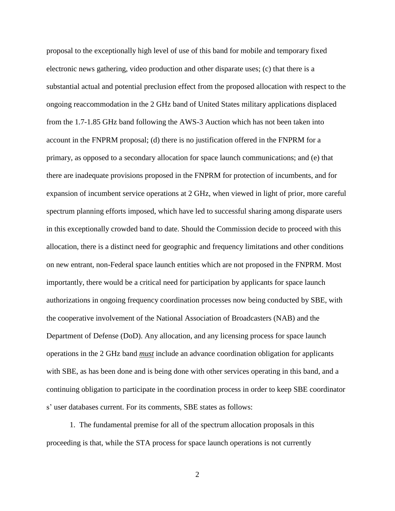proposal to the exceptionally high level of use of this band for mobile and temporary fixed electronic news gathering, video production and other disparate uses; (c) that there is a substantial actual and potential preclusion effect from the proposed allocation with respect to the ongoing reaccommodation in the 2 GHz band of United States military applications displaced from the 1.7-1.85 GHz band following the AWS-3 Auction which has not been taken into account in the FNPRM proposal; (d) there is no justification offered in the FNPRM for a primary, as opposed to a secondary allocation for space launch communications; and (e) that there are inadequate provisions proposed in the FNPRM for protection of incumbents, and for expansion of incumbent service operations at 2 GHz, when viewed in light of prior, more careful spectrum planning efforts imposed, which have led to successful sharing among disparate users in this exceptionally crowded band to date. Should the Commission decide to proceed with this allocation, there is a distinct need for geographic and frequency limitations and other conditions on new entrant, non-Federal space launch entities which are not proposed in the FNPRM. Most importantly, there would be a critical need for participation by applicants for space launch authorizations in ongoing frequency coordination processes now being conducted by SBE, with the cooperative involvement of the National Association of Broadcasters (NAB) and the Department of Defense (DoD). Any allocation, and any licensing process for space launch operations in the 2 GHz band *must* include an advance coordination obligation for applicants with SBE, as has been done and is being done with other services operating in this band, and a continuing obligation to participate in the coordination process in order to keep SBE coordinator s' user databases current. For its comments, SBE states as follows:

1. The fundamental premise for all of the spectrum allocation proposals in this proceeding is that, while the STA process for space launch operations is not currently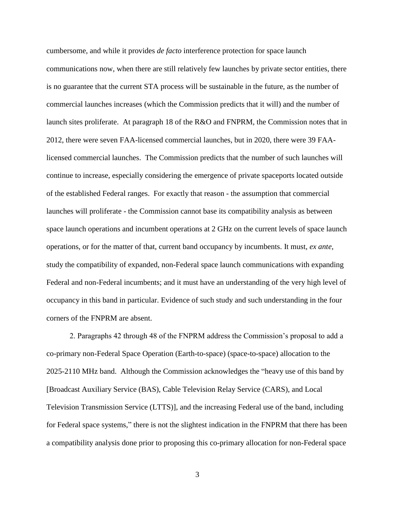cumbersome, and while it provides *de facto* interference protection for space launch communications now, when there are still relatively few launches by private sector entities, there is no guarantee that the current STA process will be sustainable in the future, as the number of commercial launches increases (which the Commission predicts that it will) and the number of launch sites proliferate. At paragraph 18 of the R&O and FNPRM, the Commission notes that in 2012, there were seven FAA-licensed commercial launches, but in 2020, there were 39 FAAlicensed commercial launches. The Commission predicts that the number of such launches will continue to increase, especially considering the emergence of private spaceports located outside of the established Federal ranges. For exactly that reason - the assumption that commercial launches will proliferate - the Commission cannot base its compatibility analysis as between space launch operations and incumbent operations at 2 GHz on the current levels of space launch operations, or for the matter of that, current band occupancy by incumbents. It must, *ex ante*, study the compatibility of expanded, non-Federal space launch communications with expanding Federal and non-Federal incumbents; and it must have an understanding of the very high level of occupancy in this band in particular. Evidence of such study and such understanding in the four corners of the FNPRM are absent.

2. Paragraphs 42 through 48 of the FNPRM address the Commission's proposal to add a co-primary non-Federal Space Operation (Earth-to-space) (space-to-space) allocation to the 2025-2110 MHz band. Although the Commission acknowledges the "heavy use of this band by [Broadcast Auxiliary Service (BAS), Cable Television Relay Service (CARS), and Local Television Transmission Service (LTTS)], and the increasing Federal use of the band, including for Federal space systems," there is not the slightest indication in the FNPRM that there has been a compatibility analysis done prior to proposing this co-primary allocation for non-Federal space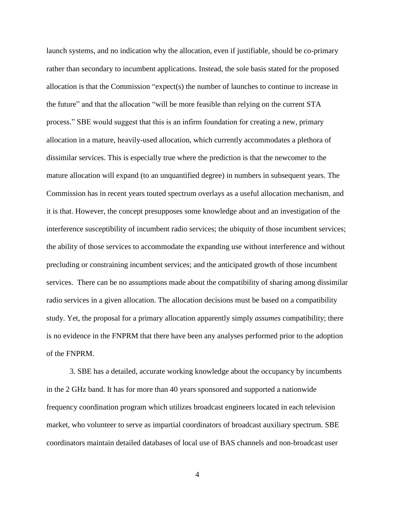launch systems, and no indication why the allocation, even if justifiable, should be co-primary rather than secondary to incumbent applications. Instead, the sole basis stated for the proposed allocation is that the Commission "expect(s) the number of launches to continue to increase in the future" and that the allocation "will be more feasible than relying on the current STA process." SBE would suggest that this is an infirm foundation for creating a new, primary allocation in a mature, heavily-used allocation, which currently accommodates a plethora of dissimilar services. This is especially true where the prediction is that the newcomer to the mature allocation will expand (to an unquantified degree) in numbers in subsequent years. The Commission has in recent years touted spectrum overlays as a useful allocation mechanism, and it is that. However, the concept presupposes some knowledge about and an investigation of the interference susceptibility of incumbent radio services; the ubiquity of those incumbent services; the ability of those services to accommodate the expanding use without interference and without precluding or constraining incumbent services; and the anticipated growth of those incumbent services. There can be no assumptions made about the compatibility of sharing among dissimilar radio services in a given allocation. The allocation decisions must be based on a compatibility study. Yet, the proposal for a primary allocation apparently simply *assumes* compatibility; there is no evidence in the FNPRM that there have been any analyses performed prior to the adoption of the FNPRM.

3. SBE has a detailed, accurate working knowledge about the occupancy by incumbents in the 2 GHz band. It has for more than 40 years sponsored and supported a nationwide frequency coordination program which utilizes broadcast engineers located in each television market, who volunteer to serve as impartial coordinators of broadcast auxiliary spectrum. SBE coordinators maintain detailed databases of local use of BAS channels and non-broadcast user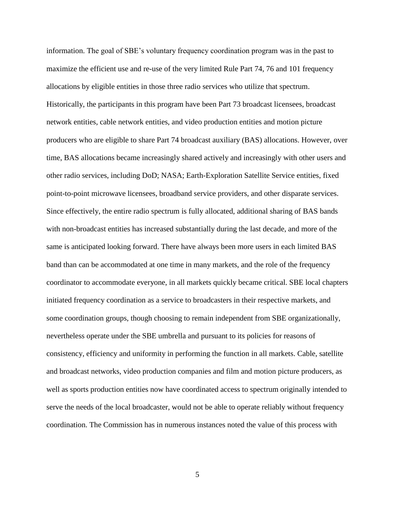information. The goal of SBE's voluntary frequency coordination program was in the past to maximize the efficient use and re-use of the very limited Rule Part 74, 76 and 101 frequency allocations by eligible entities in those three radio services who utilize that spectrum. Historically, the participants in this program have been Part 73 broadcast licensees, broadcast network entities, cable network entities, and video production entities and motion picture producers who are eligible to share Part 74 broadcast auxiliary (BAS) allocations. However, over time, BAS allocations became increasingly shared actively and increasingly with other users and other radio services, including DoD; NASA; Earth-Exploration Satellite Service entities, fixed point-to-point microwave licensees, broadband service providers, and other disparate services. Since effectively, the entire radio spectrum is fully allocated, additional sharing of BAS bands with non-broadcast entities has increased substantially during the last decade, and more of the same is anticipated looking forward. There have always been more users in each limited BAS band than can be accommodated at one time in many markets, and the role of the frequency coordinator to accommodate everyone, in all markets quickly became critical. SBE local chapters initiated frequency coordination as a service to broadcasters in their respective markets, and some coordination groups, though choosing to remain independent from SBE organizationally, nevertheless operate under the SBE umbrella and pursuant to its policies for reasons of consistency, efficiency and uniformity in performing the function in all markets. Cable, satellite and broadcast networks, video production companies and film and motion picture producers, as well as sports production entities now have coordinated access to spectrum originally intended to serve the needs of the local broadcaster, would not be able to operate reliably without frequency coordination. The Commission has in numerous instances noted the value of this process with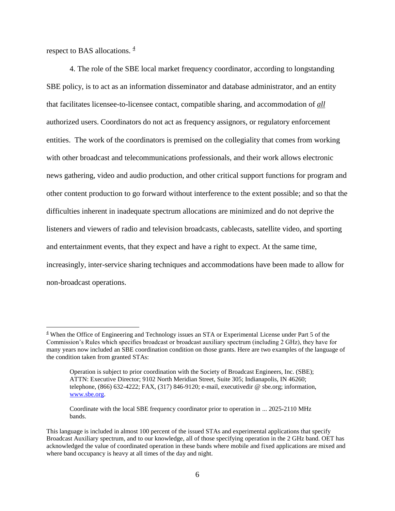respect to BAS allocations.  $\frac{4}{3}$ 

 $\overline{a}$ 

4. The role of the SBE local market frequency coordinator, according to longstanding SBE policy, is to act as an information disseminator and database administrator, and an entity that facilitates licensee-to-licensee contact, compatible sharing, and accommodation of *all* authorized users. Coordinators do not act as frequency assignors, or regulatory enforcement entities. The work of the coordinators is premised on the collegiality that comes from working with other broadcast and telecommunications professionals, and their work allows electronic news gathering, video and audio production, and other critical support functions for program and other content production to go forward without interference to the extent possible; and so that the difficulties inherent in inadequate spectrum allocations are minimized and do not deprive the listeners and viewers of radio and television broadcasts, cablecasts, satellite video, and sporting and entertainment events, that they expect and have a right to expect. At the same time, increasingly, inter-service sharing techniques and accommodations have been made to allow for non-broadcast operations.

 $4$  When the Office of Engineering and Technology issues an STA or Experimental License under Part 5 of the Commission's Rules which specifies broadcast or broadcast auxiliary spectrum (including 2 GHz), they have for many years now included an SBE coordination condition on those grants. Here are two examples of the language of the condition taken from granted STAs:

Operation is subject to prior coordination with the Society of Broadcast Engineers, Inc. (SBE); ATTN: Executive Director; 9102 North Meridian Street, Suite 305; Indianapolis, IN 46260; telephone, (866) 632-4222; FAX, (317) 846-9120; e-mail, executivedir @ sbe.org; information, [www.sbe.org.](http://www.sbe.org/)

Coordinate with the local SBE frequency coordinator prior to operation in ... 2025-2110 MHz bands.

This language is included in almost 100 percent of the issued STAs and experimental applications that specify Broadcast Auxiliary spectrum, and to our knowledge, all of those specifying operation in the 2 GHz band. OET has acknowledged the value of coordinated operation in these bands where mobile and fixed applications are mixed and where band occupancy is heavy at all times of the day and night.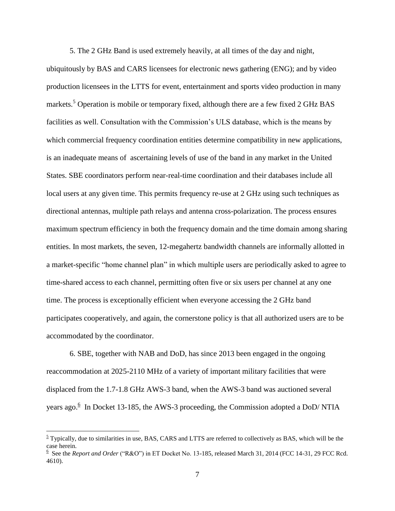5. The 2 GHz Band is used extremely heavily, at all times of the day and night,

ubiquitously by BAS and CARS licensees for electronic news gathering (ENG); and by video production licensees in the LTTS for event, entertainment and sports video production in many markets.<sup>5</sup> Operation is mobile or temporary fixed, although there are a few fixed 2 GHz BAS facilities as well. Consultation with the Commission's ULS database, which is the means by which commercial frequency coordination entities determine compatibility in new applications, is an inadequate means of ascertaining levels of use of the band in any market in the United States. SBE coordinators perform near-real-time coordination and their databases include all local users at any given time. This permits frequency re-use at 2 GHz using such techniques as directional antennas, multiple path relays and antenna cross-polarization. The process ensures maximum spectrum efficiency in both the frequency domain and the time domain among sharing entities. In most markets, the seven, 12-megahertz bandwidth channels are informally allotted in a market-specific "home channel plan" in which multiple users are periodically asked to agree to time-shared access to each channel, permitting often five or six users per channel at any one time. The process is exceptionally efficient when everyone accessing the 2 GHz band participates cooperatively, and again, the cornerstone policy is that all authorized users are to be accommodated by the coordinator.

6. SBE, together with NAB and DoD, has since 2013 been engaged in the ongoing reaccommodation at 2025-2110 MHz of a variety of important military facilities that were displaced from the 1.7-1.8 GHz AWS-3 band, when the AWS-3 band was auctioned several years ago.<sup>6</sup> In Docket 13-185, the AWS-3 proceeding, the Commission adopted a DoD/NTIA

 $\frac{5}{2}$  Typically, due to similarities in use, BAS, CARS and LTTS are referred to collectively as BAS, which will be the case herein.<br><sup>6</sup> See the *Report and Order* ("R&O") in ET Docket No. 13-185, released March 31, 2014 (FCC 14-31, 29 FCC Rcd.

<sup>4610).</sup>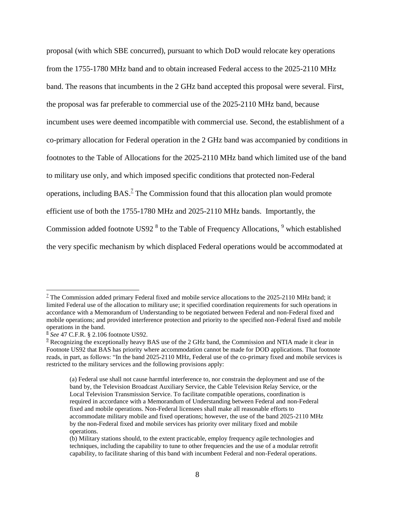proposal (with which SBE concurred), pursuant to which DoD would relocate key operations from the 1755-1780 MHz band and to obtain increased Federal access to the 2025-2110 MHz band. The reasons that incumbents in the 2 GHz band accepted this proposal were several. First, the proposal was far preferable to commercial use of the 2025-2110 MHz band, because incumbent uses were deemed incompatible with commercial use. Second, the establishment of a co-primary allocation for Federal operation in the 2 GHz band was accompanied by conditions in footnotes to the Table of Allocations for the 2025-2110 MHz band which limited use of the band to military use only, and which imposed specific conditions that protected non-Federal operations, including  $BAS^2$  The Commission found that this allocation plan would promote efficient use of both the 1755-1780 MHz and 2025-2110 MHz bands. Importantly, the Commission added footnote US92<sup>8</sup> to the Table of Frequency Allocations, <sup>9</sup> which established the very specific mechanism by which displaced Federal operations would be accommodated at

 $1/2$  The Commission added primary Federal fixed and mobile service allocations to the 2025-2110 MHz band; it limited Federal use of the allocation to military use; it specified coordination requirements for such operations in accordance with a Memorandum of Understanding to be negotiated between Federal and non-Federal fixed and mobile operations; and provided interference protection and priority to the specified non-Federal fixed and mobile operations in the band.

<sup>8</sup> *See* 47 C.F.R. § 2.106 footnote US92.

 $9$  Recognizing the exceptionally heavy BAS use of the 2 GHz band, the Commission and NTIA made it clear in Footnote US92 that BAS has priority where accommodation cannot be made for DOD applications. That footnote reads, in part, as follows: "In the band 2025-2110 MHz, Federal use of the co-primary fixed and mobile services is restricted to the military services and the following provisions apply:

<sup>(</sup>a) Federal use shall not cause harmful interference to, nor constrain the deployment and use of the band by, the Television Broadcast Auxiliary Service, the Cable Television Relay Service, or the Local Television Transmission Service. To facilitate compatible operations, coordination is required in accordance with a Memorandum of Understanding between Federal and non-Federal fixed and mobile operations. Non-Federal licensees shall make all reasonable efforts to accommodate military mobile and fixed operations; however, the use of the band 2025-2110 MHz by the non-Federal fixed and mobile services has priority over military fixed and mobile operations.

<sup>(</sup>b) Military stations should, to the extent practicable, employ frequency agile technologies and techniques, including the capability to tune to other frequencies and the use of a modular retrofit capability, to facilitate sharing of this band with incumbent Federal and non-Federal operations.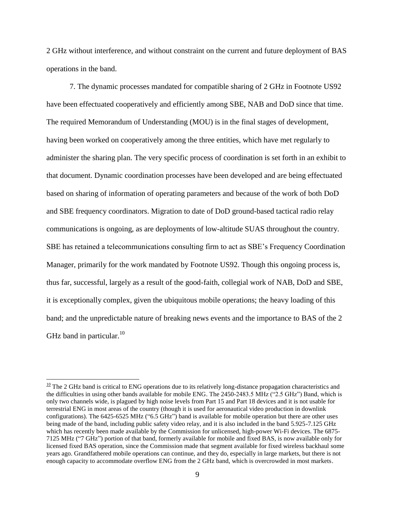2 GHz without interference, and without constraint on the current and future deployment of BAS operations in the band.

7. The dynamic processes mandated for compatible sharing of 2 GHz in Footnote US92 have been effectuated cooperatively and efficiently among SBE, NAB and DoD since that time. The required Memorandum of Understanding (MOU) is in the final stages of development, having been worked on cooperatively among the three entities, which have met regularly to administer the sharing plan. The very specific process of coordination is set forth in an exhibit to that document. Dynamic coordination processes have been developed and are being effectuated based on sharing of information of operating parameters and because of the work of both DoD and SBE frequency coordinators. Migration to date of DoD ground-based tactical radio relay communications is ongoing, as are deployments of low-altitude SUAS throughout the country. SBE has retained a telecommunications consulting firm to act as SBE's Frequency Coordination Manager, primarily for the work mandated by Footnote US92. Though this ongoing process is, thus far, successful, largely as a result of the good-faith, collegial work of NAB, DoD and SBE, it is exceptionally complex, given the ubiquitous mobile operations; the heavy loading of this band; and the unpredictable nature of breaking news events and the importance to BAS of the 2 GHz band in particular. $^{10}$ 

 $10$  The 2 GHz band is critical to ENG operations due to its relatively long-distance propagation characteristics and the difficulties in using other bands available for mobile ENG. The 2450-2483.5 MHz ("2.5 GHz") Band, which is only two channels wide, is plagued by high noise levels from Part 15 and Part 18 devices and it is not usable for terrestrial ENG in most areas of the country (though it is used for aeronautical video production in downlink configurations). The 6425-6525 MHz ("6.5 GHz") band is available for mobile operation but there are other uses being made of the band, including public safety video relay, and it is also included in the band 5.925-7.125 GHz which has recently been made available by the Commission for unlicensed, high-power Wi-Fi devices. The 6875-7125 MHz ("7 GHz") portion of that band, formerly available for mobile and fixed BAS, is now available only for licensed fixed BAS operation, since the Commission made that segment available for fixed wireless backhaul some years ago. Grandfathered mobile operations can continue, and they do, especially in large markets, but there is not enough capacity to accommodate overflow ENG from the 2 GHz band, which is overcrowded in most markets.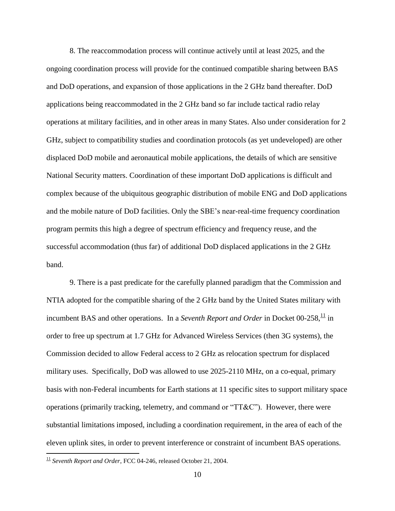8. The reaccommodation process will continue actively until at least 2025, and the ongoing coordination process will provide for the continued compatible sharing between BAS and DoD operations, and expansion of those applications in the 2 GHz band thereafter. DoD applications being reaccommodated in the 2 GHz band so far include tactical radio relay operations at military facilities, and in other areas in many States. Also under consideration for 2 GHz, subject to compatibility studies and coordination protocols (as yet undeveloped) are other displaced DoD mobile and aeronautical mobile applications, the details of which are sensitive National Security matters. Coordination of these important DoD applications is difficult and complex because of the ubiquitous geographic distribution of mobile ENG and DoD applications and the mobile nature of DoD facilities. Only the SBE's near-real-time frequency coordination program permits this high a degree of spectrum efficiency and frequency reuse, and the successful accommodation (thus far) of additional DoD displaced applications in the 2 GHz band.

9. There is a past predicate for the carefully planned paradigm that the Commission and NTIA adopted for the compatible sharing of the 2 GHz band by the United States military with incumbent BAS and other operations. In a *Seventh Report and Order* in Docket 00-258,<sup>11</sup> in order to free up spectrum at 1.7 GHz for Advanced Wireless Services (then 3G systems), the Commission decided to allow Federal access to 2 GHz as relocation spectrum for displaced military uses. Specifically, DoD was allowed to use 2025-2110 MHz, on a co-equal, primary basis with non-Federal incumbents for Earth stations at 11 specific sites to support military space operations (primarily tracking, telemetry, and command or "TT&C"). However, there were substantial limitations imposed, including a coordination requirement, in the area of each of the eleven uplink sites, in order to prevent interference or constraint of incumbent BAS operations.

<sup>&</sup>lt;sup>11</sup> Seventh Report and Order, FCC 04-246, released October 21, 2004.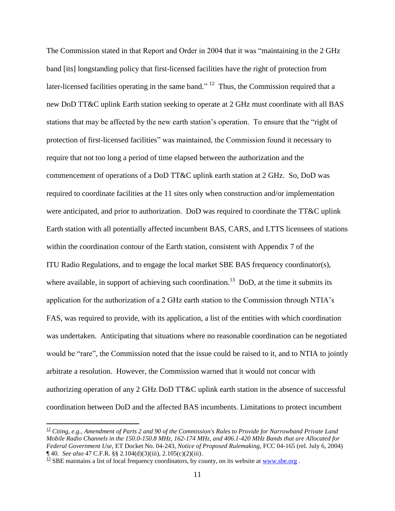The Commission stated in that Report and Order in 2004 that it was "maintaining in the 2 GHz band [its] longstanding policy that first-licensed facilities have the right of protection from later-licensed facilities operating in the same band." <sup>12</sup> Thus, the Commission required that a new DoD TT&C uplink Earth station seeking to operate at 2 GHz must coordinate with all BAS stations that may be affected by the new earth station's operation. To ensure that the "right of protection of first-licensed facilities" was maintained, the Commission found it necessary to require that not too long a period of time elapsed between the authorization and the commencement of operations of a DoD TT&C uplink earth station at 2 GHz. So, DoD was required to coordinate facilities at the 11 sites only when construction and/or implementation were anticipated, and prior to authorization. DoD was required to coordinate the TT&C uplink Earth station with all potentially affected incumbent BAS, CARS, and LTTS licensees of stations within the coordination contour of the Earth station, consistent with Appendix 7 of the ITU Radio Regulations, and to engage the local market SBE BAS frequency coordinator(s), where available, in support of achieving such coordination.<sup>13</sup> DoD, at the time it submits its application for the authorization of a 2 GHz earth station to the Commission through NTIA's FAS, was required to provide, with its application, a list of the entities with which coordination was undertaken. Anticipating that situations where no reasonable coordination can be negotiated would be "rare", the Commission noted that the issue could be raised to it, and to NTIA to jointly arbitrate a resolution. However, the Commission warned that it would not concur with authorizing operation of any 2 GHz DoD TT&C uplink earth station in the absence of successful coordination between DoD and the affected BAS incumbents. Limitations to protect incumbent

<sup>12</sup> *Citing, e.g., Amendment of Parts 2 and 90 of the Commission's Rules to Provide for Narrowband Private Land Mobile Radio Channels in the 150.0-150.8 MHz, 162-174 MHz, and 406.1-420 MHz Bands that are Allocated for Federal Government Use*, ET Docket No. 04-243, *Notice of Proposed Rulemaking*, FCC 04-165 (rel. July 6, 2004) ¶ 40. *See also* 47 C.F.R. §§ 2.104(d)(3)(iii), 2.105(c)(2)(iii).

 $\frac{13}{13}$  SBE maintains a list of local frequency coordinators, by county, on its website at [www.sbe.org](http://www.sbe.org/).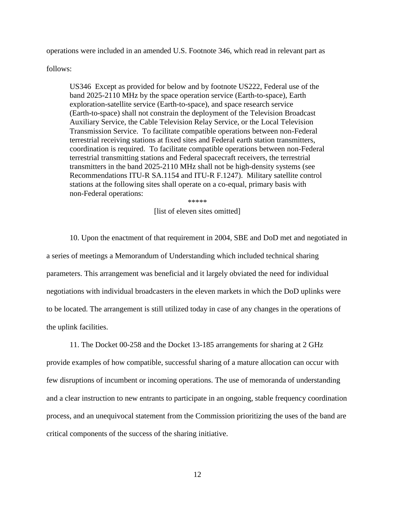operations were included in an amended U.S. Footnote 346, which read in relevant part as

follows:

US346 Except as provided for below and by footnote US222, Federal use of the band 2025-2110 MHz by the space operation service (Earth-to-space), Earth exploration-satellite service (Earth-to-space), and space research service (Earth-to-space) shall not constrain the deployment of the Television Broadcast Auxiliary Service, the Cable Television Relay Service, or the Local Television Transmission Service. To facilitate compatible operations between non-Federal terrestrial receiving stations at fixed sites and Federal earth station transmitters, coordination is required. To facilitate compatible operations between non-Federal terrestrial transmitting stations and Federal spacecraft receivers, the terrestrial transmitters in the band 2025-2110 MHz shall not be high-density systems (see Recommendations ITU-R SA.1154 and ITU-R F.1247). Military satellite control stations at the following sites shall operate on a co-equal, primary basis with non-Federal operations:

\*\*\*\*\*

## [list of eleven sites omitted]

10. Upon the enactment of that requirement in 2004, SBE and DoD met and negotiated in a series of meetings a Memorandum of Understanding which included technical sharing parameters. This arrangement was beneficial and it largely obviated the need for individual negotiations with individual broadcasters in the eleven markets in which the DoD uplinks were to be located. The arrangement is still utilized today in case of any changes in the operations of the uplink facilities.

11. The Docket 00-258 and the Docket 13-185 arrangements for sharing at 2 GHz provide examples of how compatible, successful sharing of a mature allocation can occur with few disruptions of incumbent or incoming operations. The use of memoranda of understanding and a clear instruction to new entrants to participate in an ongoing, stable frequency coordination process, and an unequivocal statement from the Commission prioritizing the uses of the band are critical components of the success of the sharing initiative.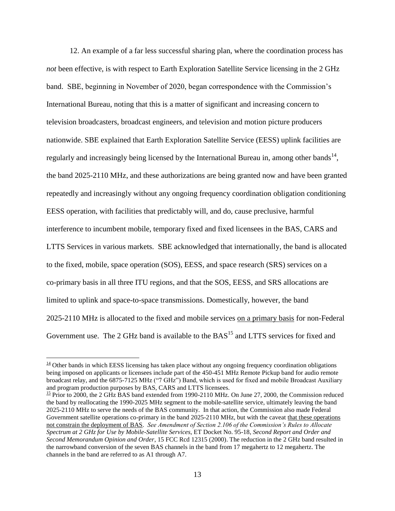12. An example of a far less successful sharing plan, where the coordination process has *not* been effective, is with respect to Earth Exploration Satellite Service licensing in the 2 GHz band. SBE, beginning in November of 2020, began correspondence with the Commission's International Bureau, noting that this is a matter of significant and increasing concern to television broadcasters, broadcast engineers, and television and motion picture producers nationwide. SBE explained that Earth Exploration Satellite Service (EESS) uplink facilities are regularly and increasingly being licensed by the International Bureau in, among other bands<sup>14</sup>, the band 2025-2110 MHz, and these authorizations are being granted now and have been granted repeatedly and increasingly without any ongoing frequency coordination obligation conditioning EESS operation, with facilities that predictably will, and do, cause preclusive, harmful interference to incumbent mobile, temporary fixed and fixed licensees in the BAS, CARS and LTTS Services in various markets. SBE acknowledged that internationally, the band is allocated to the fixed, mobile, space operation (SOS), EESS, and space research (SRS) services on a co-primary basis in all three ITU regions, and that the SOS, EESS, and SRS allocations are limited to uplink and space-to-space transmissions. Domestically, however, the band 2025-2110 MHz is allocated to the fixed and mobile services on a primary basis for non-Federal Government use. The 2 GHz band is available to the  $BAS<sup>15</sup>$  and LTTS services for fixed and

 $\overline{a}$ 

 $\frac{15}{2}$  Prior to 2000, the 2 GHz BAS band extended from 1990-2110 MHz. On June 27, 2000, the Commission reduced the band by reallocating the 1990-2025 MHz segment to the mobile-satellite service, ultimately leaving the band 2025-2110 MHz to serve the needs of the BAS community. In that action, the Commission also made Federal Government satellite operations co-primary in the band 2025-2110 MHz, but with the caveat that these operations not constrain the deployment of BAS. *See Amendment of Section 2.106 of the Commission's Rules to Allocate Spectrum at 2 GHz for Use by Mobile-Satellite Services*, ET Docket No. 95-18, *Second Report and Order and Second Memorandum Opinion and Order*, 15 FCC Rcd 12315 (2000). The reduction in the 2 GHz band resulted in the narrowband conversion of the seven BAS channels in the band from 17 megahertz to 12 megahertz. The channels in the band are referred to as A1 through A7.

 $\frac{14}{14}$  Other bands in which EESS licensing has taken place without any ongoing frequency coordination obligations being imposed on applicants or licensees include part of the 450-451 MHz Remote Pickup band for audio remote broadcast relay, and the 6875-7125 MHz ("7 GHz") Band, which is used for fixed and mobile Broadcast Auxiliary and program production purposes by BAS, CARS and LTTS licensees.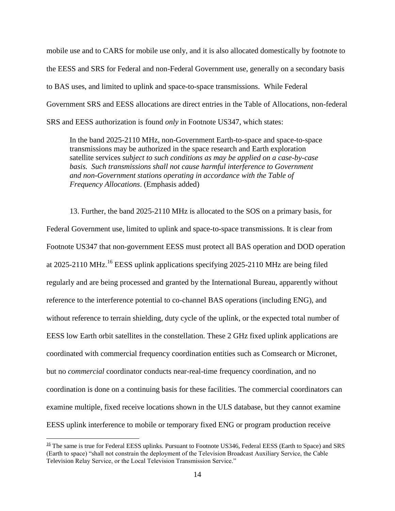mobile use and to CARS for mobile use only, and it is also allocated domestically by footnote to the EESS and SRS for Federal and non-Federal Government use, generally on a secondary basis to BAS uses, and limited to uplink and space-to-space transmissions. While Federal Government SRS and EESS allocations are direct entries in the Table of Allocations, non-federal SRS and EESS authorization is found *only* in Footnote US347, which states:

In the band 2025-2110 MHz, non-Government Earth-to-space and space-to-space transmissions may be authorized in the space research and Earth exploration satellite services *subject to such conditions as may be applied on a case-by-case*  basis. Such transmissions shall not cause harmful interference to Government *and non-Government stations operating in accordance with the Table of Frequency Allocations*. (Emphasis added)

13. Further, the band 2025-2110 MHz is allocated to the SOS on a primary basis, for Federal Government use, limited to uplink and space-to-space transmissions. It is clear from Footnote US347 that non-government EESS must protect all BAS operation and DOD operation at 2025-2110 MHz.<sup>16</sup> EESS uplink applications specifying 2025-2110 MHz are being filed regularly and are being processed and granted by the International Bureau, apparently without reference to the interference potential to co-channel BAS operations (including ENG), and without reference to terrain shielding, duty cycle of the uplink, or the expected total number of EESS low Earth orbit satellites in the constellation. These 2 GHz fixed uplink applications are coordinated with commercial frequency coordination entities such as Comsearch or Micronet, but no *commercial* coordinator conducts near-real-time frequency coordination, and no coordination is done on a continuing basis for these facilities. The commercial coordinators can examine multiple, fixed receive locations shown in the ULS database, but they cannot examine EESS uplink interference to mobile or temporary fixed ENG or program production receive

 $\frac{16}{16}$  The same is true for Federal EESS uplinks. Pursuant to Footnote US346, Federal EESS (Earth to Space) and SRS (Earth to space) "shall not constrain the deployment of the Television Broadcast Auxiliary Service, the Cable Television Relay Service, or the Local Television Transmission Service."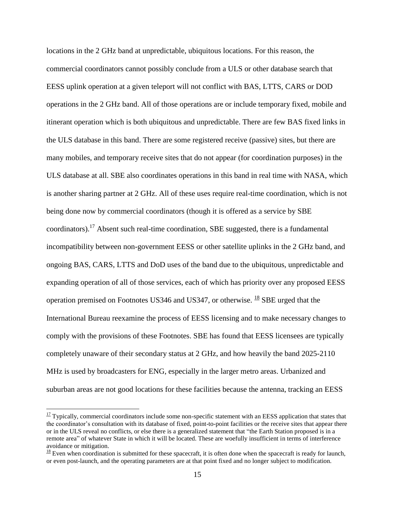locations in the 2 GHz band at unpredictable, ubiquitous locations. For this reason, the commercial coordinators cannot possibly conclude from a ULS or other database search that EESS uplink operation at a given teleport will not conflict with BAS, LTTS, CARS or DOD operations in the 2 GHz band. All of those operations are or include temporary fixed, mobile and itinerant operation which is both ubiquitous and unpredictable. There are few BAS fixed links in the ULS database in this band. There are some registered receive (passive) sites, but there are many mobiles, and temporary receive sites that do not appear (for coordination purposes) in the ULS database at all. SBE also coordinates operations in this band in real time with NASA, which is another sharing partner at 2 GHz. All of these uses require real-time coordination, which is not being done now by commercial coordinators (though it is offered as a service by SBE coordinators).<sup>17</sup> Absent such real-time coordination, SBE suggested, there is a fundamental incompatibility between non-government EESS or other satellite uplinks in the 2 GHz band, and ongoing BAS, CARS, LTTS and DoD uses of the band due to the ubiquitous, unpredictable and expanding operation of all of those services, each of which has priority over any proposed EESS operation premised on Footnotes US346 and US347, or otherwise.  $^{18}$  SBE urged that the International Bureau reexamine the process of EESS licensing and to make necessary changes to comply with the provisions of these Footnotes. SBE has found that EESS licensees are typically completely unaware of their secondary status at 2 GHz, and how heavily the band 2025-2110 MHz is used by broadcasters for ENG, especially in the larger metro areas. Urbanized and suburban areas are not good locations for these facilities because the antenna, tracking an EESS

 $\frac{17}{17}$  Typically, commercial coordinators include some non-specific statement with an EESS application that states that the coordinator's consultation with its database of fixed, point-to-point facilities or the receive sites that appear there or in the ULS reveal no conflicts, or else there is a generalized statement that "the Earth Station proposed is in a remote area" of whatever State in which it will be located. These are woefully insufficient in terms of interference avoidance or mitigation.

 $\frac{18}{18}$  Even when coordination is submitted for these spacecraft, it is often done when the spacecraft is ready for launch, or even post-launch, and the operating parameters are at that point fixed and no longer subject to modification.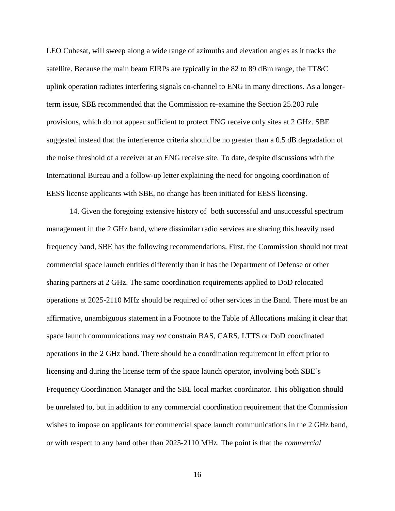LEO Cubesat, will sweep along a wide range of azimuths and elevation angles as it tracks the satellite. Because the main beam EIRPs are typically in the 82 to 89 dBm range, the TT&C uplink operation radiates interfering signals co-channel to ENG in many directions. As a longerterm issue, SBE recommended that the Commission re-examine the Section 25.203 rule provisions, which do not appear sufficient to protect ENG receive only sites at 2 GHz. SBE suggested instead that the interference criteria should be no greater than a 0.5 dB degradation of the noise threshold of a receiver at an ENG receive site. To date, despite discussions with the International Bureau and a follow-up letter explaining the need for ongoing coordination of EESS license applicants with SBE, no change has been initiated for EESS licensing.

14. Given the foregoing extensive history of both successful and unsuccessful spectrum management in the 2 GHz band, where dissimilar radio services are sharing this heavily used frequency band, SBE has the following recommendations. First, the Commission should not treat commercial space launch entities differently than it has the Department of Defense or other sharing partners at 2 GHz. The same coordination requirements applied to DoD relocated operations at 2025-2110 MHz should be required of other services in the Band. There must be an affirmative, unambiguous statement in a Footnote to the Table of Allocations making it clear that space launch communications may *not* constrain BAS, CARS, LTTS or DoD coordinated operations in the 2 GHz band. There should be a coordination requirement in effect prior to licensing and during the license term of the space launch operator, involving both SBE's Frequency Coordination Manager and the SBE local market coordinator. This obligation should be unrelated to, but in addition to any commercial coordination requirement that the Commission wishes to impose on applicants for commercial space launch communications in the 2 GHz band, or with respect to any band other than 2025-2110 MHz. The point is that the *commercial*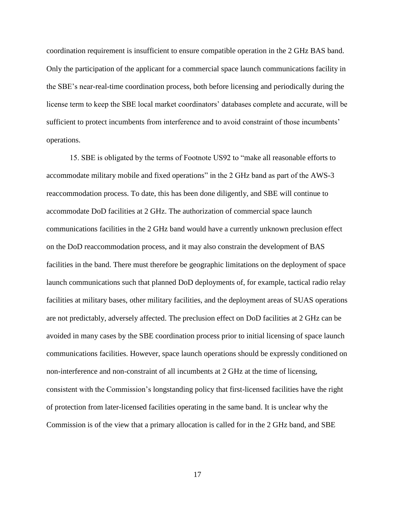coordination requirement is insufficient to ensure compatible operation in the 2 GHz BAS band. Only the participation of the applicant for a commercial space launch communications facility in the SBE's near-real-time coordination process, both before licensing and periodically during the license term to keep the SBE local market coordinators' databases complete and accurate, will be sufficient to protect incumbents from interference and to avoid constraint of those incumbents' operations.

15. SBE is obligated by the terms of Footnote US92 to "make all reasonable efforts to accommodate military mobile and fixed operations" in the 2 GHz band as part of the AWS-3 reaccommodation process. To date, this has been done diligently, and SBE will continue to accommodate DoD facilities at 2 GHz. The authorization of commercial space launch communications facilities in the 2 GHz band would have a currently unknown preclusion effect on the DoD reaccommodation process, and it may also constrain the development of BAS facilities in the band. There must therefore be geographic limitations on the deployment of space launch communications such that planned DoD deployments of, for example, tactical radio relay facilities at military bases, other military facilities, and the deployment areas of SUAS operations are not predictably, adversely affected. The preclusion effect on DoD facilities at 2 GHz can be avoided in many cases by the SBE coordination process prior to initial licensing of space launch communications facilities. However, space launch operations should be expressly conditioned on non-interference and non-constraint of all incumbents at 2 GHz at the time of licensing, consistent with the Commission's longstanding policy that first-licensed facilities have the right of protection from later-licensed facilities operating in the same band. It is unclear why the Commission is of the view that a primary allocation is called for in the 2 GHz band, and SBE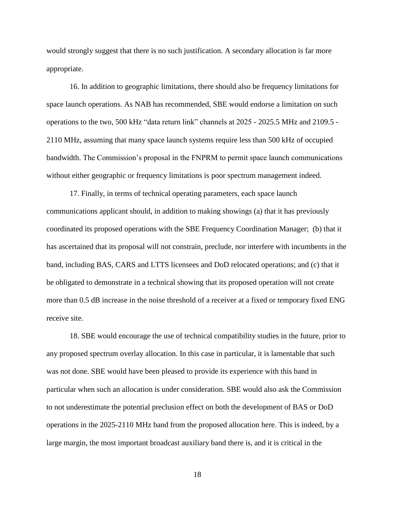would strongly suggest that there is no such justification. A secondary allocation is far more appropriate.

16. In addition to geographic limitations, there should also be frequency limitations for space launch operations. As NAB has recommended, SBE would endorse a limitation on such operations to the two, 500 kHz "data return link" channels at 2025 - 2025.5 MHz and 2109.5 - 2110 MHz, assuming that many space launch systems require less than 500 kHz of occupied bandwidth. The Commission's proposal in the FNPRM to permit space launch communications without either geographic or frequency limitations is poor spectrum management indeed.

17. Finally, in terms of technical operating parameters, each space launch communications applicant should, in addition to making showings (a) that it has previously coordinated its proposed operations with the SBE Frequency Coordination Manager; (b) that it has ascertained that its proposal will not constrain, preclude, nor interfere with incumbents in the band, including BAS, CARS and LTTS licensees and DoD relocated operations; and (c) that it be obligated to demonstrate in a technical showing that its proposed operation will not create more than 0.5 dB increase in the noise threshold of a receiver at a fixed or temporary fixed ENG receive site.

18. SBE would encourage the use of technical compatibility studies in the future, prior to any proposed spectrum overlay allocation. In this case in particular, it is lamentable that such was not done. SBE would have been pleased to provide its experience with this band in particular when such an allocation is under consideration. SBE would also ask the Commission to not underestimate the potential preclusion effect on both the development of BAS or DoD operations in the 2025-2110 MHz band from the proposed allocation here. This is indeed, by a large margin, the most important broadcast auxiliary band there is, and it is critical in the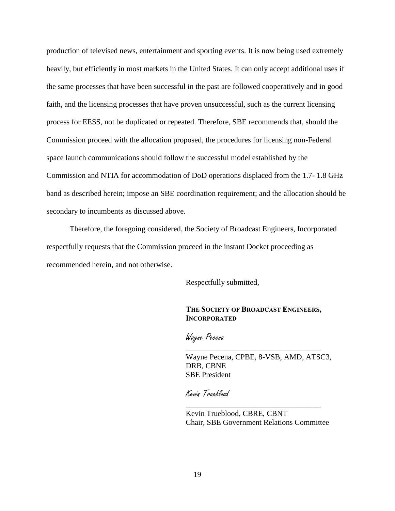production of televised news, entertainment and sporting events. It is now being used extremely heavily, but efficiently in most markets in the United States. It can only accept additional uses if the same processes that have been successful in the past are followed cooperatively and in good faith, and the licensing processes that have proven unsuccessful, such as the current licensing process for EESS, not be duplicated or repeated. Therefore, SBE recommends that, should the Commission proceed with the allocation proposed, the procedures for licensing non-Federal space launch communications should follow the successful model established by the Commission and NTIA for accommodation of DoD operations displaced from the 1.7- 1.8 GHz band as described herein; impose an SBE coordination requirement; and the allocation should be secondary to incumbents as discussed above.

Therefore, the foregoing considered, the Society of Broadcast Engineers, Incorporated respectfully requests that the Commission proceed in the instant Docket proceeding as recommended herein, and not otherwise.

Respectfully submitted,

## **THE SOCIETY OF BROADCAST ENGINEERS, INCORPORATED**

\_\_\_\_\_\_\_\_\_\_\_\_\_\_\_\_\_\_\_\_\_\_\_\_\_\_\_\_\_\_\_\_\_\_\_

Wayne Pecena

Wayne Pecena, CPBE, 8-VSB, AMD, ATSC3, DRB, CBNE SBE President

Kevin Trueblood

Kevin Trueblood, CBRE, CBNT Chair, SBE Government Relations Committee

\_\_\_\_\_\_\_\_\_\_\_\_\_\_\_\_\_\_\_\_\_\_\_\_\_\_\_\_\_\_\_\_\_\_\_